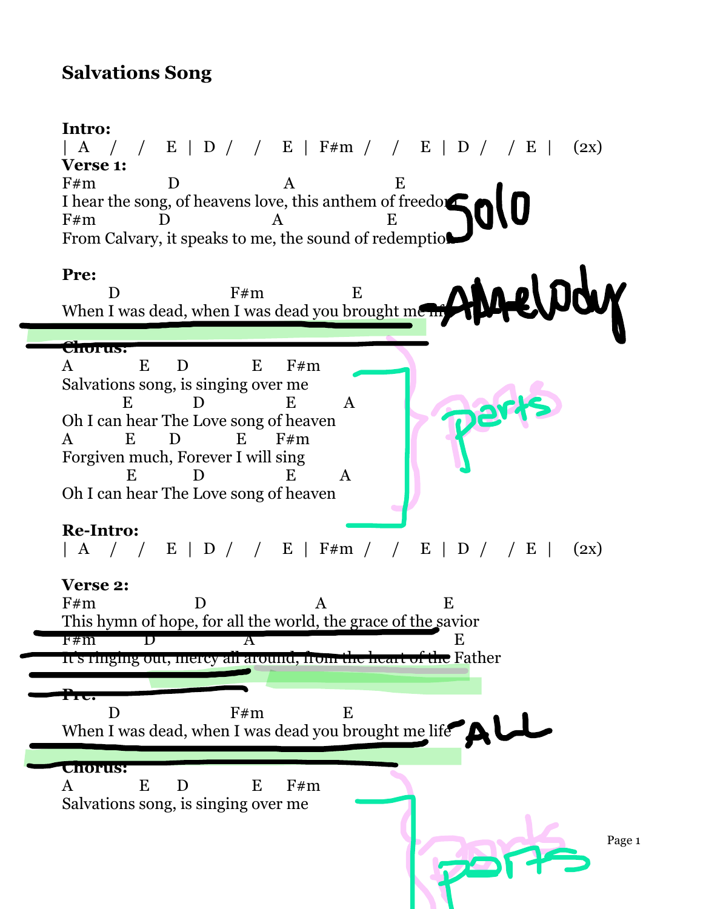## **Salvations Song**

## **Intro:**